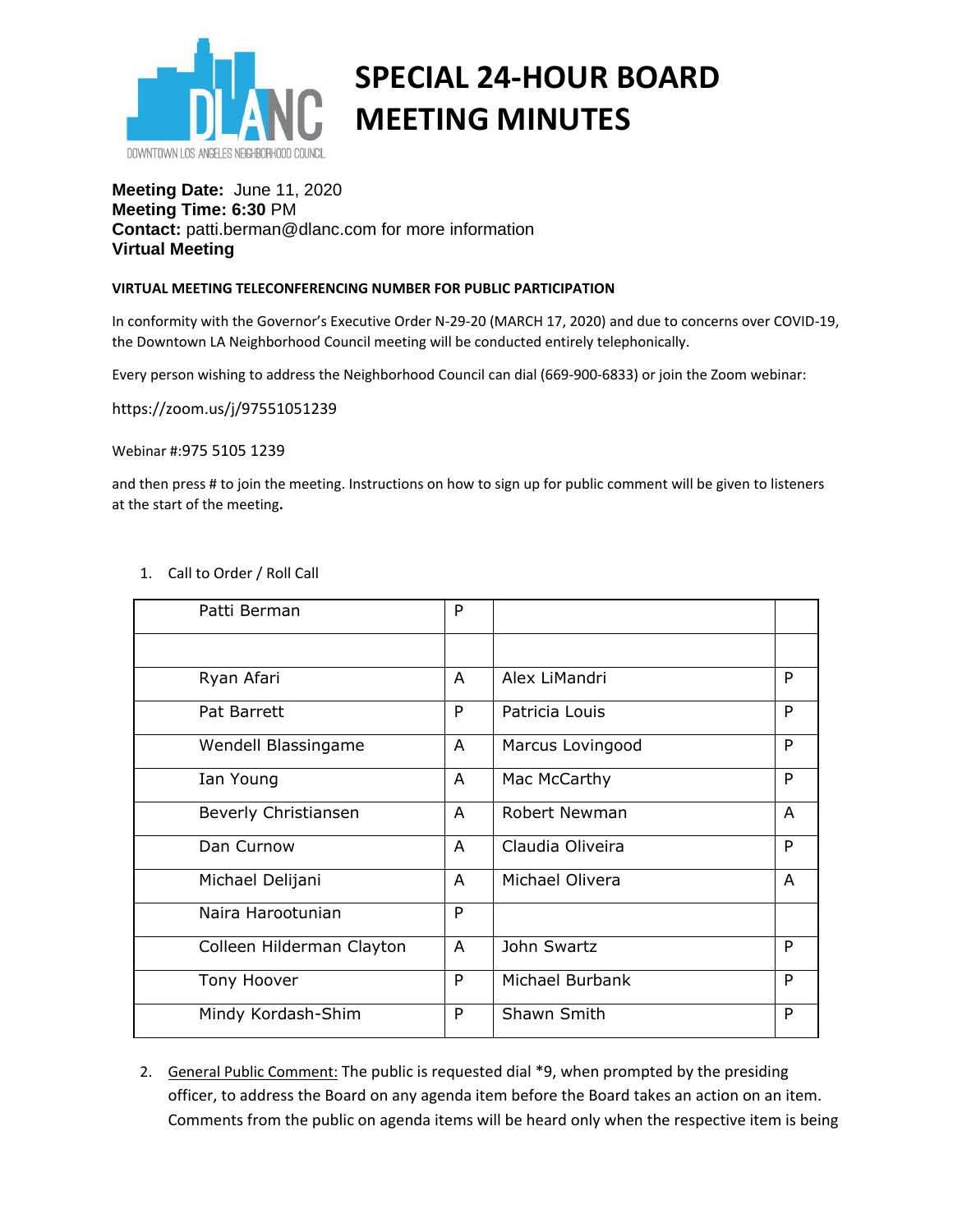

# **SPECIAL 24-HOUR BOARD MEETING MINUTES**

## **Meeting Date:** June 11, 2020 **Meeting Time: 6:30** PM **Contact:** patti.berman@dlanc.com for more information **Virtual Meeting**

#### **VIRTUAL MEETING TELECONFERENCING NUMBER FOR PUBLIC PARTICIPATION**

In conformity with the Governor's Executive Order N-29-20 (MARCH 17, 2020) and due to concerns over COVID-19, the Downtown LA Neighborhood Council meeting will be conducted entirely telephonically.

Every person wishing to address the Neighborhood Council can dial (669-900-6833) or join the Zoom webinar:

<https://zoom.us/j/97551051239>

Webinar #:975 5105 1239

and then press # to join the meeting. Instructions on how to sign up for public comment will be given to listeners at the start of the meeting**.** 

| Patti Berman              | P |                  |   |
|---------------------------|---|------------------|---|
|                           |   |                  |   |
| Ryan Afari                | A | Alex LiMandri    | P |
| Pat Barrett               | P | Patricia Louis   | P |
| Wendell Blassingame       | A | Marcus Lovingood | P |
| Ian Young                 | A | Mac McCarthy     | P |
| Beverly Christiansen      | A | Robert Newman    | A |
| Dan Curnow                | A | Claudia Oliveira | P |
| Michael Delijani          | A | Michael Olivera  | A |
| Naira Harootunian         | P |                  |   |
| Colleen Hilderman Clayton | A | John Swartz      | P |
| Tony Hoover               | P | Michael Burbank  | P |
| Mindy Kordash-Shim        | P | Shawn Smith      | P |

#### 1. Call to Order / Roll Call

2. General Public Comment: The public is requested dial \*9, when prompted by the presiding officer, to address the Board on any agenda item before the Board takes an action on an item. Comments from the public on agenda items will be heard only when the respective item is being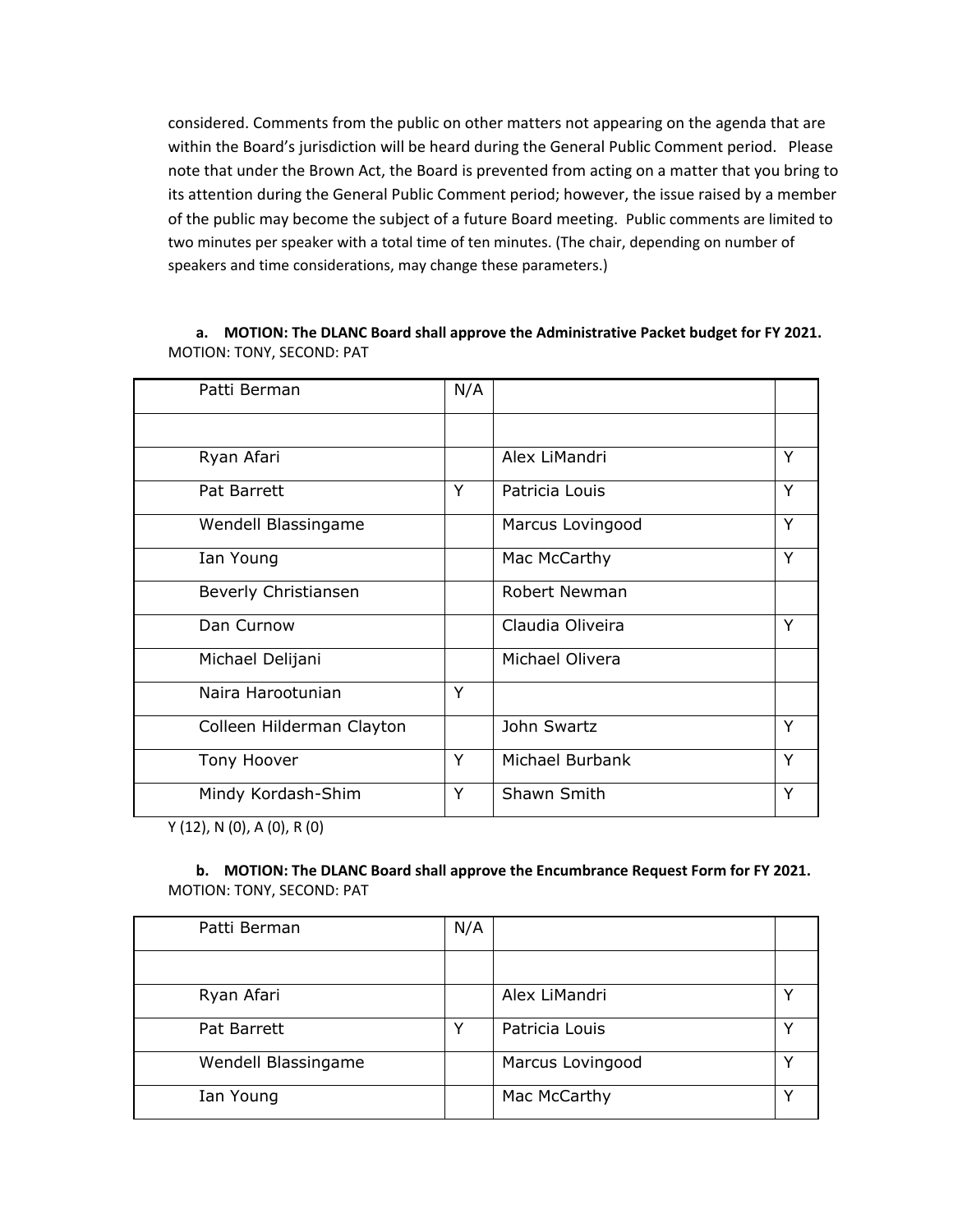considered. Comments from the public on other matters not appearing on the agenda that are within the Board's jurisdiction will be heard during the General Public Comment period. Please note that under the Brown Act, the Board is prevented from acting on a matter that you bring to its attention during the General Public Comment period; however, the issue raised by a member of the public may become the subject of a future Board meeting. Public comments are limited to two minutes per speaker with a total time of ten minutes. (The chair, depending on number of speakers and time considerations, may change these parameters.)

### **a. MOTION: The DLANC Board shall approve the Administrative Packet budget for FY 2021.** MOTION: TONY, SECOND: PAT

| Patti Berman              | N/A |                      |   |
|---------------------------|-----|----------------------|---|
|                           |     |                      |   |
| Ryan Afari                |     | Alex LiMandri        | Y |
| Pat Barrett               | Y   | Patricia Louis       | Y |
| Wendell Blassingame       |     | Marcus Lovingood     | Y |
| Ian Young                 |     | Mac McCarthy         | Y |
| Beverly Christiansen      |     | <b>Robert Newman</b> |   |
| Dan Curnow                |     | Claudia Oliveira     | Y |
| Michael Delijani          |     | Michael Olivera      |   |
| Naira Harootunian         | Y   |                      |   |
| Colleen Hilderman Clayton |     | John Swartz          | Y |
| Tony Hoover               | Y   | Michael Burbank      | Y |
| Mindy Kordash-Shim        | Y   | Shawn Smith          | Y |

Y (12), N (0), A (0), R (0)

## **b. MOTION: The DLANC Board shall approve the Encumbrance Request Form for FY 2021.** MOTION: TONY, SECOND: PAT

| Patti Berman        | N/A |                  |  |
|---------------------|-----|------------------|--|
|                     |     |                  |  |
| Ryan Afari          |     | Alex LiMandri    |  |
| Pat Barrett         |     | Patricia Louis   |  |
| Wendell Blassingame |     | Marcus Lovingood |  |
| Ian Young           |     | Mac McCarthy     |  |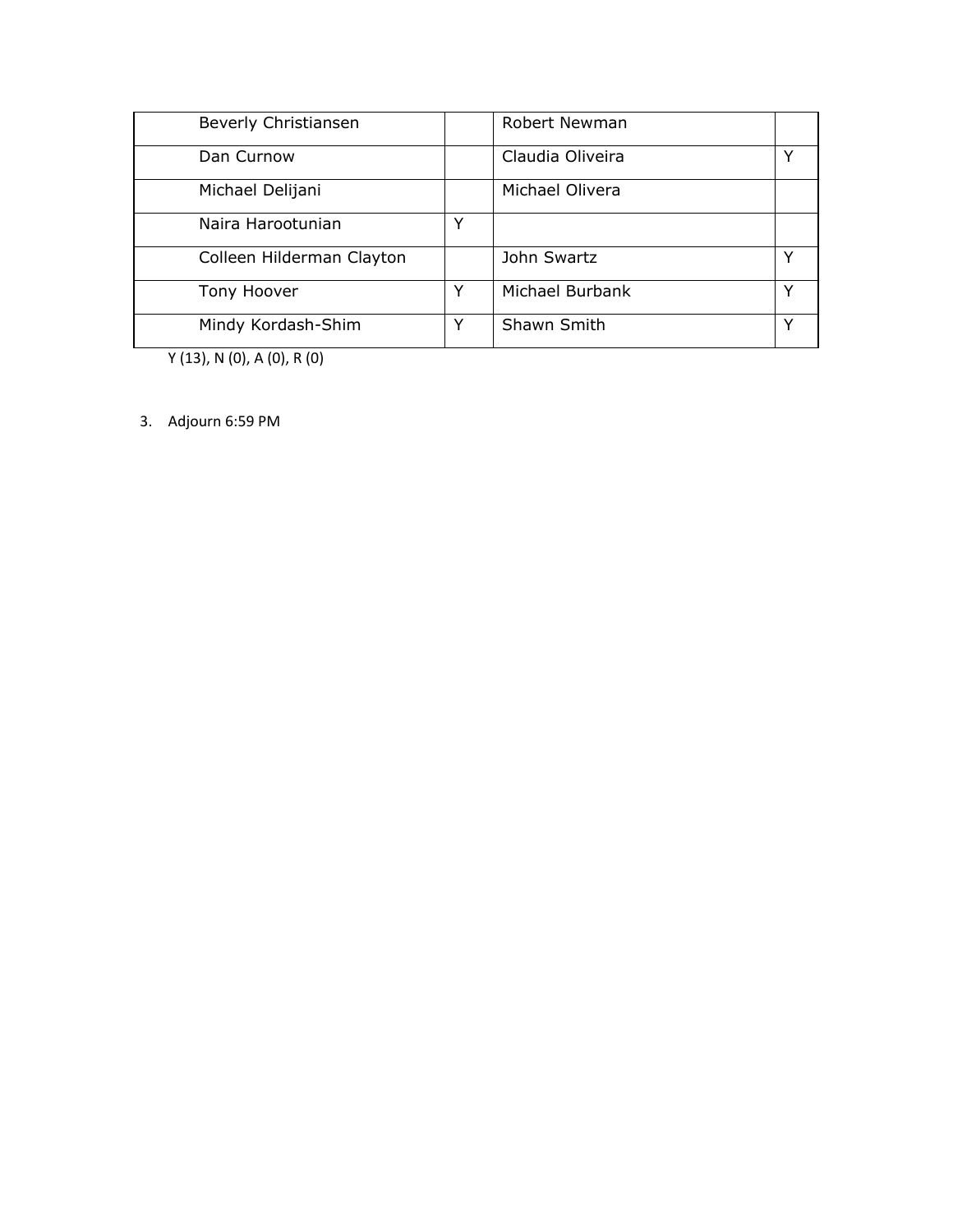| Beverly Christiansen      |   | <b>Robert Newman</b> |  |
|---------------------------|---|----------------------|--|
| Dan Curnow                |   | Claudia Oliveira     |  |
| Michael Delijani          |   | Michael Olivera      |  |
| Naira Harootunian         | ◡ |                      |  |
| Colleen Hilderman Clayton |   | John Swartz          |  |
| Tony Hoover               | Y | Michael Burbank      |  |
| Mindy Kordash-Shim        | Y | Shawn Smith          |  |

Y (13), N (0), A (0), R (0)

3. Adjourn 6:59 PM